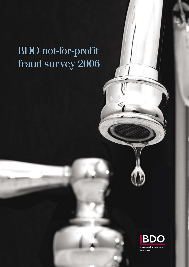# BDO not-for-profit fraud survey 2006



Chartered Accountants & Advisers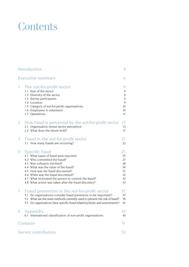## **Contents**

| Introduction                                                                                                                                                                                                                                                                                                                                                        | 4                                                  |
|---------------------------------------------------------------------------------------------------------------------------------------------------------------------------------------------------------------------------------------------------------------------------------------------------------------------------------------------------------------------|----------------------------------------------------|
| <b>Executive summary</b>                                                                                                                                                                                                                                                                                                                                            | 6                                                  |
| The not-for-profit sector<br>1<br>1.1 Size of the sector<br>1.2 Diversity of the sector<br>1.3 Survey participants<br>1.4 Location<br>1.5 Category of not-for-profit organisations<br>1.6 Employees & volunteers<br>1.7 Operations                                                                                                                                  | 9<br>9<br>9<br>9<br>9<br>10<br>10<br>11            |
| How fraud is perceived by the not-for-profit sector<br>$\overline{2}$<br>2.1 Organisation versus sector perception<br>2.2 What does the future hold?                                                                                                                                                                                                                | 13<br>13<br>17                                     |
| 3<br>Fraud in the not-for-profit sector<br>3.1 How many frauds are occurring?                                                                                                                                                                                                                                                                                       | 21<br>22                                           |
| <b>Specific fraud</b><br>4<br>4.1 What types of fraud were reported<br>4.2 Who committed the fraud?<br>4.3 Was collusion involved?<br>4.4 What was the value of the fraud?<br>4.5 How was the fraud discovered?<br>4.6 When was the fraud discovered?<br>4.7 What motivated the person to commit the fraud?<br>4.8 What action was taken after the fraud discovery? | 25<br>25<br>27<br>28<br>30<br>31<br>32<br>32<br>33 |
| Fraud prevention in the not-for-profit sector<br>5<br>5.1 Do organisations consider fraud prevention to be important?<br>5.2 What are the main methods currently used to prevent the risk of fraud?<br>5.3 Do organisations have specific fraud related policies and assessments?                                                                                   | 37<br>37<br>39<br>41                               |
| Appendix<br>6<br>6.1 International classification of non-profit organisations                                                                                                                                                                                                                                                                                       | 43<br>43                                           |
| Contacts                                                                                                                                                                                                                                                                                                                                                            | 51                                                 |
| <b>Survey contributors</b>                                                                                                                                                                                                                                                                                                                                          | 52                                                 |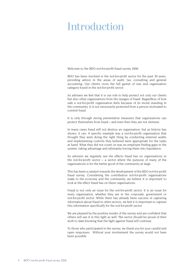## Introduction

Welcome to the BDO not-for-profit fraud survey 2006.

BDO has been involved in the not-for-profit sector for the past 30 years, providing advice in the areas of audit, tax, consulting and general accounting. Our clients cross the full gamut of size and organisation category found in the not-for-profit sector.

As advisers we feel that it is our role to help protect not only our clients but also other organisations from the ravages of fraud. Regardless of how safe a not-for-profit organisation feels because of its moral standing in the community, it is not necessarily protected from a person motivated to commit fraud.

It is only through strong preventative measures that organisations can protect themselves from fraud – and even then they are not immune.

In many cases fraud will not destroy an organisation, but as history has shown, it can. A specific example was a not-for-profit organisation that thought they were doing the right thing by conducting external audits and implementing controls they believed were appropriate for the tasks at hand. What they did not count on was an employee finding gaps in the system, taking advantage and ultimately forcing them into liquidation.

As advisers we regularly see the effects fraud has on organisations in the not-for-profit sector  $-$  a sector where the purpose of many of the organisations is for the better good of the community at large.

This has been a catalyst towards the development of the BDO not-for-profit fraud survey. Considering the contribution not-for-profit organisations make to the economy and the community, we believe it is important to look at the effect fraud has on these organisations.

Fraud is not only an issue for the not-for-profit sector. It is an issue for every organisation, whether they are in the corporate, government or not-for-profit sector. While there has already been success in capturing information about fraud in other sectors, we feel it is important to capture this information specifically for the not-for-profit sector.

We are pleased by the positive results of the survey and are confident that others will see it in this light as well. The sector should be proud of their work to-date knowing that the fight against fraud will continue.

To those who participated in the survey, we thank you for your candid and open responses. Without your involvement the survey would not have been possible.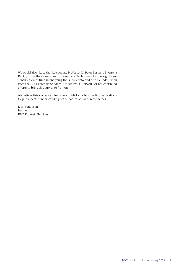We would also like to thank Associate Professor Dr Peter Best and Sherrena Buckby from the Queensland University of Technology for the significant contribution of time in analysing the survey data and also Belinda Busoli from the BDO Forensic Services Not-for-Profit Network for her continued efforts to bring this survey to fruition.

We believe this survey can become a guide for not-for-profit organisations to gain a better understanding of the nature of fraud in the sector.

Lisa Bundesen Partner BDO Forensic Services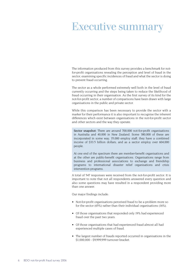## Executive summary

The information produced from this survey provides a benchmark for notfor-profit organisations revealing the perception and level of fraud in the sector, examining specific incidences of fraud and what the sector is doing to prevent fraud occurring.

The sector as a whole performed extremely well both in the level of fraud currently occurring and the steps being taken to reduce the likelihood of fraud occurring in their organisation. As the first survey of its kind for the not-for-profit sector, a number of comparisons have been drawn with large organisations in the public and private sector.

While this comparison has been necessary to provide the sector with a marker for their performance it is also important to recognise the inherent differences which exist between organisations in the not-for-profit sector and other sectors and the way they operate.

Sector snapshot: There are around 700,000 not-for-profit organisations in Australia and 40,000 in New Zealand. Some 380,000 of these are incorporated in some way; 35,000 employ staff; they have a combined income of \$33.5 billion dollars; and as a sector employ over 604,000 people.

At one end of the spectrum there are member-benefit organisations and at the other are public-benefit organisations. Organisations range from business and professional associations to exchange and friendship programs to international disaster relief organisations and crisis intervention programs.

A total of 547 responses were received from the not-for-profit sector. It is important to note that not all respondents answered every question and also some questions may have resulted in a respondent providing more than one answer.

Our major findings include:

- Not-for-profit organisations perceived fraud to be a problem more so for the sector (65%) rather than their individual organisations (16%).
- Of those organisations that responded only 19% had experienced fraud over the past two years.
- Of those organisations that had experienced fraud almost all had experienced multiple cases of fraud.
- The largest number of frauds reported occurred in organisations in the \$1,000,000 - \$9,999,999 turnover bracket.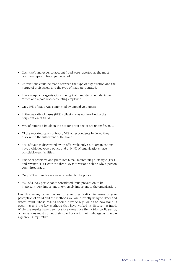- Cash theft and expense account fraud were reported as the most common types of fraud perpetrated.
- Correlations could be made between the type of organisation and the nature of their assets and the type of fraud perpetrated.
- In not-for-profit organisations the typical fraudster is female, in her forties and a paid non-accounting employee.
- Only 15% of fraud was committed by unpaid volunteers.
- In the majority of cases (81%) collusion was not involved in the perpetration of fraud.
- 89% of reported frauds in the not-for-profit sector are under \$50,000.
- Of the reported cases of fraud, 50% of respondents believed they discovered the full extent of the fraud.
- 37% of fraud is discovered by tip offs, while only 8% of organisations have a whistleblowers policy and only 3% of organisations have whistleblowers facilities.
- Financial problems and pressures (26%), maintaining a lifestyle (19%) and revenge (17%) were the three key motivations behind why a person committed fraud.
- Only 36% of fraud cases were reported to the police.
- 85% of survey participants considered fraud prevention to be important, very important or extremely important to the organisation.

Has this survey raised issues for your organisation in terms of your perception of fraud and the methods you are currently using to deter and detect fraud? These results should provide a guide as to how fraud is occurring and the key methods that have worked in discovering fraud. While the results have been positive overall for the not-for-profit sector, organisations must not let their guard down in their fight against fraud – vigilance is imperative.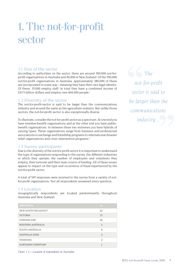## 1. The not-for-profit sector

## 1.1 Size of the sector

According to authorities on the sector, there are around 700,000 not-forprofit organisations in Australia and 40,000 in New Zealand. Of the 700,000 not-for-profit organisations in Australia, approximately 380,000 of these are incorporated in some way – meaning they have their own legal identity. Of these, 35,000 employ staff. In total they have a combined income of \$33.5 billion dollars and employ over 604,000 people.<sup>i</sup>

## 1.2 Diversity of the sector

The not-for-profit-sector is said to be larger than the communications industry and around the same as the agriculture industry. But unlike those sectors, the not-for-profit sector is also exceptionally diverse.

To illustrate, consider the not-for-profit sector as a spectrum. At one end you have member-benefit organisations and at the other end you have publicbenefit organisations. In between these two extremes you have hybrids of varying types. These organisations range from business and professional associations to exchange and friendship programs to international disaster relief organisations and crisis intervention programs.<sup>ii</sup>

## 1.3 Survey participants

Due to the diversity of the not-for-profit sector it is important to understand the type of organisations responding to the survey, the different industries in which they operate, the number of employees and volunteers they employ, their turnover and their main source of funding. All of these issues appear to impact on the type and occurrence of fraud experienced by the not-for-profit sector.

A total of 547 responses were received to the survey from a variety of notfor-profit organisations. Not all respondents answered every question.

## 1.4 Location

Geographically respondents are located predominantly throughout Australia and New Zealand.

| <b>AUSTRALIA</b>         | %              |  |
|--------------------------|----------------|--|
| NEW SOUTH WALES/ACT      | 22             |  |
| <b>VICTORIA</b>          | 17             |  |
| QUEENSLAND               | 16             |  |
| <b>WESTERN AUSTRALIA</b> | 7              |  |
| SOUTH AUSTRALIA          | 4              |  |
| <b>AUSTRALIA WIDE</b>    | $\overline{2}$ |  |
| <b>TASMANIA</b>          | $\mathfrak{D}$ |  |
| NORTHERN TERRITORY       |                |  |

*The not-for-profit sector is said to be larger than the communications industry...*

*Chart 1.2 – Location of respondents in Australia*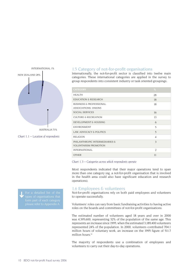

#### *Chart 1.1 – Location of respondents*

#### 1.5 Category of not-for-profit organisations

Internationally, the not-for-profit sector is classified into twelve main categories. These international categories are applied in the survey to group respondents into consistent industry or task oriented groupings.

| <b>CATEGORY</b>                                                | %              |  |
|----------------------------------------------------------------|----------------|--|
| <b>HEALTH</b>                                                  | 28             |  |
| <b>EDUCATION &amp; RESEARCH</b>                                | 18             |  |
| BUSINESS & PROFESSIONAL<br>ASSOCIATIONS, UNIONS                | 18             |  |
| SOCIAL SERVICES                                                | 16             |  |
| <b>CULTURE &amp; RECREATION</b>                                | 13             |  |
| DEVELOPMENT & HOUSING                                          | 6              |  |
| <b>ENVIRONMENT</b>                                             | 5              |  |
| LAW, ADVOCACY & POLITICS                                       | 5              |  |
| <b>RELIGION</b>                                                | $\overline{4}$ |  |
| PHILANTHROPIC INTERMEDIARIES &<br><b>VOLUNTARISM PROMOTION</b> | 3              |  |
| <b>INTERNATIONAL</b>                                           | $\mathcal{D}$  |  |
| <b>OTHER</b>                                                   | 11             |  |

#### *Chart 1.3 – Categories across which respondents operate*

Most respondents indicated that their major operations tend to span more than one category (eg. a not-for-profit organisation that is involved in the health area could also have significant education and research operations).

#### 1.6 Employees & volunteers

Not-for-profit organisations rely on both paid employees and volunteers to operate successfully.

Volunteers' roles can vary from basic fundraising activities to having active roles on the boards and committees of not-for-profit organisations.

The estimated number of volunteers aged 18 years and over in 2000 was 4,395,600, representing 32% of the population of the same age. This represents an increase since 1995, when the estimated 3,189,400 volunteers represented 24% of the population. In 2000, volunteers contributed 704.1 million hours of voluntary work, an increase on the 1995 figure of 511.7 million hours.<sup>iii</sup>

The majority of respondents use a combination of employees and volunteers to carry out their day-to-day operations.

**For a detailed list of the** types of organisations that form part of each category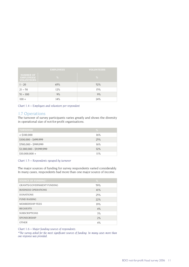|                                                            | <b>EMPLOYEES</b> | <b>VOLUNTEERS</b> |
|------------------------------------------------------------|------------------|-------------------|
| <b>NUMBER OF</b><br><b>EMPLOYEES/</b><br><b>VOLUNTEERS</b> | %                | %                 |
| $1 - 20$                                                   | 65%              | 52%               |
| $21 - 50$                                                  | 12%              | 15%               |
| $51 - 100$                                                 | 9%               | 9%                |
| $100 +$                                                    | 14%              | 24%               |

*Chart 1.4 – Employees and volunteers per respondent*

## 1.7 Operations

The turnover of survey participants varies greatly and shows the diversity in operational size of not-for-profit organisations.

| <b>TURNOVER</b>           | %   |
|---------------------------|-----|
| $<$ \$100,000             | 16% |
| \$100,000 - \$499,999     | 25% |
| \$500,000 - \$999,999     | 16% |
| \$1,000,000 - \$9,999,999 | 32% |
| $$10,000,000 +$           | 11% |

#### *Chart 1.5 – Respondents rgouped by turnover*

The major sources of funding for survey respondents varied considerably. In many cases, respondents had more than one major source of income.

| <b>SOURCE OF FUNDING*</b>        | %   |
|----------------------------------|-----|
| <b>GRANTS/GOVERNMENT FUNDING</b> | 59% |
| <b>BUSINESS OPERATIONS</b>       | 41% |
| <b>DONATIONS</b>                 | 25% |
| FUND RAISING                     | 22% |
| MEMBERSHIP FEES                  | 19% |
| <b>BEOUESTS</b>                  | 4%  |
| <b>SUBSCRIPTIONS</b>             | 3%  |
| <b>SPONSORSHIP</b>               | 2%  |
| <b>OTHER</b>                     | 4%  |

*Chart 1.6 – Major funding sources of respondents.* 

*\*The survey asked for the most significant sources of funding. In many cases more than one response was provided.*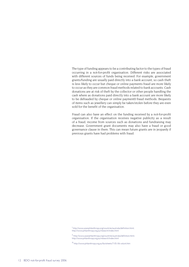The type of funding appears to be a contributing factor to the types of fraud occurring in a not-for-profit organisation. Different risks are associated with different sources of funds being received. For example, government grants/funding are usually paid directly into a bank account, so cash theft is less likely to occur but cheque or online payments fraud are more likely to occur as they are common fraud methods related to bank accounts. Cash donations are at risk of theft by the collector or other people handling the cash where as donations paid directly into a bank account are more likely to be defrauded by cheque or online payment0 fraud methods. Bequests of items such as jewellery can simply be taken/stolen before they are even sold for the benefit of the organisation.

Fraud can also have an effect on the funding received by a not-for-profit organisation. If the organisation receives negative publicity as a result of a fraud, income from sources such as donations and fundraising may decrease. Government grant documents may also have a fraud or good governance clause in them. This can mean future grants are in jeopardy if previous grants have had problems with fraud.

i http://www.asianphilanthropy.org/countries/australia/definition.html; http://www.philanthropy.org.au/research/index.html

ii http://www.asianphilanthropy.org/countries/australia/definition.html; http://www.philanthropy.org.au/research/index.html

iii http://www.philanthropy.org.au/factsheets/7-05-06-volunt.htm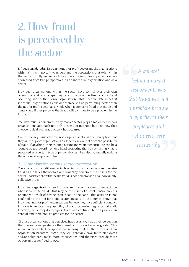# 2. How fraud is perceived by the sector

Is fraud considered an issue in the not-for-profit sector and the organisations within it? It is important to understand the perceptions that exist within the sector to fully understand the survey findings. Fraud perception was addressed from two perspectives: as an individual organisation and as a sector.

Individual organisations within the sector have control over their own operations and what steps they take to reduce the likelihood of fraud occurring within their own organisation. This section determines if individual organisations consider themselves as performing better than the not-for-profit sector as a whole when it comes to fraud prevention and control and if they perceive that fraud will continue to be a problem in the future.

The way fraud is perceived in any market sector plays a major role in how organisations approach not only prevention methods but also how they choose to deal with fraud once it has occurred.

One of the key issues for the not-for-profit sector is the perception that they are 'do-good' organisations and therefore exempt from the possibility of fraud. If anything, their trusting nature and volunteer structure can be a 'double-edged' sword – on one hand protecting them by attracting what is perceived as a certain type of person (honest) but also potentially making them more susceptible to fraud.

## 2.1 Organisation versus sector perception

There is a distinct difference in how individual organisations perceive fraud as a risk for themselves and how they perceived it as a risk for the sector. Statistics show that while fraud is not perceive as a risk individually, collectively it is.

Individual organisations tend to have an 'it won't happen to me' attitude when it comes to fraud – this may be the result of a strict control process or simply a result of having their 'head in the sand'. This attitude is not confined to the not-for-profit sector. Results of the survey show that individual not-for-profit organisations believe they have sufficient controls in place to reduce the possibility of fraud occurring (eg. external audit function), while they do recognise that fraud continues to be a problem in general and therefore is a problem for the sector.

Of those organisations that perceived fraud as a risk, it was their perception that the risk was greater as their level of turnover became greater. This is an understandable response considering that as the turnover of an organisation becomes larger, they will generally have more employees and/or volunteers, make more transactions and therefore provide more opportunities for fraud to occur.

*A general feeling amongst respondents was that fraud was not a problem because they believed their employees and volunteers were trustworthy.*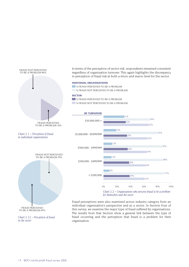



*Chart 2.12 – Perception of fraud in the sector*

In terms of the perception of sector risk, respondents remained consistent regardless of organisation turnover. This again highlights the discrepancy in perception of fraud risk at both a micro and macro level for the sector.

#### **INDIVIDUAL ORGANISATIONS**

- **WERAUD PERCEIVED TO BE A PROBLEM**
- **WERAUD NOT PERCEIVED TO BE A PROBLEM**

#### **SECTOR**

**WE SEE A PROBLEM WE A FRAUD NOT PERCEIVED TO BE A PROBLEM** 



*Chart 2.2 – Organisations who perceive fraud to be a problem for themselves and the sector*

Fraud perceptions were also examined across industry category from an individual organisation's perspective and as a sector. In Section Four of this survey, we examine the major type of fraud suffered by organisations. The results from that Section show a general link between the type of fraud occurring and the perception that fraud is a problem for their organisation.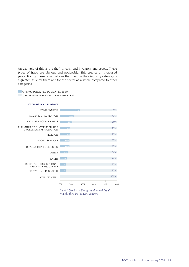An example of this is the theft of cash and inventory and assets. These types of fraud are obvious and noticeable. This creates an increased perception by these organisations that fraud in their industry category is a greater issue for them and for the sector as a whole compared to other categories.

**WE A FRAUD PERCEIVED TO BE A PROBLEM** % FRAUD NOT PERCEIVED TO BE A PROBLEM



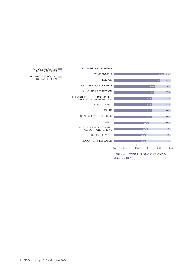

#### *Chart 2.4 – Perception of fraud in the sector by industry category*

% FRAUD PERCEIVED TO BE A PROBLEM

 % FRAUD NOT PERCEIVED TO BE A PROBLEM

16 BDO not-for-profit fraud survey 2006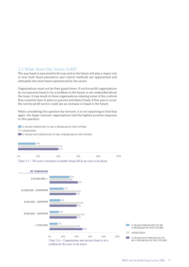## 2.2 What does the future hold?

The way fraud is perceived both now and in the future will play a major role in how both fraud prevention and control methods are approached and ultimately the level fraud experienced by the sector.

Organisations must not let their guard down. If not-for-profit organisations do not perceive fraud to be a problem in the future or are undecided about the issue, it may result in these organisations relaxing some of the controls they currently have in place to prevent and detect fraud. If this was to occur, the not-for-profit sector could see an increase in fraud in the future.

When considering this question by turnover, it is not surprising to find that again, the larger turnover organisations had the highest positive response to this question.



**WE ALSO FRAUD NOT PERCEIVED TO BE A PROBLEM IN THE FUTURE** 





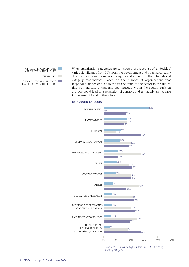

When organisation categories are considered, the response of 'undecided' varies significantly from 56% from the development and housing category down to 19% from the religion category and none from the international category respondents. Based on the number of organisations that responded 'undecided' as to the risk of fraud to the sector in the future, this may indicate a 'wait and see' attitude within the sector. Such an attitude could lead to a relaxation of controls and ultimately an increase in the level of fraud in the future.

#### **BY INDUSTRY CATEGORY**



*Chart 2.7 – Future perception of fraud in the sector by industry category*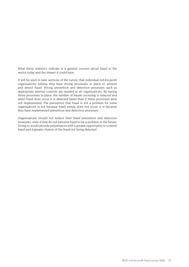What these statistics indicate is a general concern about fraud in the sector today and the impact it could have.

It will be seen in later sections of the survey, that individual not-for-profit organisations believe they have strong processes in place to prevent and detect fraud. Strong prevention and detection processes such as appropriate internal controls are needed in all organisations. By having these processes in place, the number of frauds occurring is reduced and when fraud does occur it is detected faster than if these processes were not implemented. The perception that fraud is not a problem for some organisations is not because fraud simply does not occur; it is because they have implemented prevention and detection processes.

Organisations should not reduce their fraud prevention and detection measures, even if they do not perceive fraud to be a problem in the future. Doing so would provide perpetrators with a greater opportunity to commit fraud and a greater chance of the fraud not being detected.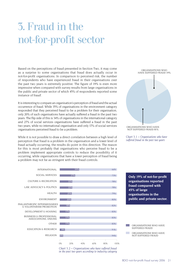# 3. Fraud in the not-for-profit sector

Based on the perceptions of fraud presented in Section Two, it may come as a surprise to some organisations that fraud does actually occur in not-for-profit organisations. In comparison to perceived risk, the number of respondents who have experienced fraud in their organisations over the past two years is extremely positive. The figure of 19% is even more impressive when compared with survey results from large organisations in the public and private sector of which 45% of respondents reported some instance of fraud<sup>i</sup>.

It is interesting to compare an organisation's perception of fraud and the actual occurrence of fraud. While 35% of organisations in the environment category responded that they perceived fraud to be a problem for their organisation, only 20% of such organisations have actually suffered a fraud in the past two years. The flip side of this is 34% of organisations in the international category and 27% of social services organisations have suffered a fraud in the past two years, while no international organisation and only 17% of social services organisations perceived fraud to be a problem.

While it is not possible to draw a direct correlation between a high level of perception that fraud is a problem in the organisation and a lower level of fraud actually occurring, the results do point in this direction. The reason for this is most probably that organisations who perceive fraud to be a problem implement appropriate controls to reduce the possibility of it occurring, while organisations that have a lower perception of fraud being a problem may not be as stringent with their fraud controls.









**Only 19% of not-for-profit organisations reported fraud compared with 45% of large organisations in the public and private sector.**

 ORGANISATIONS WHO HAVE SUFFERED FRAUD

 $\sim 100$ ORGANISATIONS WHO HAVE NOT SUFFERED FRAUD

BDO not-for-profit fraud survey 2006 21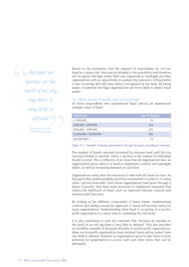*Because we operate on the smell of an oily rag there is very little to defraud* 

> *Respondent in the <\$100,000 category.*

Based on the perception that the majority of respondents do not see fraud as a major risk, they may be blinded to the possibility and therefore not recognise red flags within their own organisation. Hindsight provides organisations with an opportunity to analyse the indicators of fraud while it was occurring and why they weren't recognised at the time. By being aware of potential red flags organisations are more likely to detect fraud earlier.

## 3.1 How many frauds are occurring?

Of those respondents who experienced fraud, almost all experienced multiple cases of fraud.

| <b>TURNOVER</b>           | <b>NO OF FRAUDS</b> |
|---------------------------|---------------------|
| $<$ \$100,000             | 14                  |
| $$100,000 - $499,999$     | 124                 |
| \$500,000 - \$999,999     | 215                 |
| \$1,000,000 - \$9,999,999 | 369                 |
| $$10,000,000 +$           | 74                  |

*Chart 3.3 – Number of frauds experienced in the past two years according to turnover*

The number of frauds reported increased by turnover level until the top turnover bracket is reached, where a decline in the number of individual frauds is noted. This is reflective of an issue that all organisations face: as organisations grow, there is a need to implement controls and segregate duties, as well as increasing demand on cash flow.

Organisations rarely have the resources to deal with all issues at once. As they grow they understandably prioritise investments in order to, in many cases, survive financially. Once those organisations have gone through a phase of growth, they have more resources to implement measures that reduce the likelihood of fraud, such as improved internal controls and internal audit functions.

By looking at the different components of these frauds, implementing controls and taking a proactive approach to fraud will become easier for many organisations. Understanding what fraud is occurring in a not-forprofit organisation is a major step in combating the risk faced.

It is also interesting to note the comment that "because we operate on the smell of an oily rag there is very little to defraud". This also provides an excellent example of the great diversity of not-for-profit organisations. Many not-for-profit organisations have minimal funds and as stated, have very little to defraud. However, as organisations grow in size, there is more potential for perpetrators to access cash and other items that can be defrauded.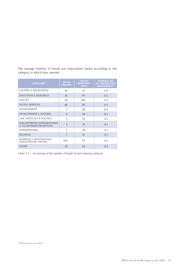The average number of frauds per respondent varied according to the category in which they operate.

| <b>CATEGORY</b>                                            | <b>NO OF</b><br><b>FRAUDS</b> | <b>NO OF</b><br><b>RESPOND-</b><br><b>ENTS</b> | <b>AVERAGE NO</b><br><b>OF FRAUDS PER</b><br><b>RESPONDENT</b> |
|------------------------------------------------------------|-------------------------------|------------------------------------------------|----------------------------------------------------------------|
| <b>CULTURE &amp; RECREATION</b>                            | 39                            | 72                                             | 0.5                                                            |
| <b>EDUCATION &amp; RESEARCH</b>                            | 16                            | 97                                             | 0.2                                                            |
| <b>HEALTH</b>                                              | 50                            | 150                                            | 0.3                                                            |
| <b>SOCIAL SERVICES</b>                                     | 46                            | 87                                             | 0.5                                                            |
| <b>ENVIRONMENT</b>                                         | 5                             | 28                                             | 0.2                                                            |
| DEVELOPMENT & HOUSING                                      | $\overline{4}$                | 30                                             | 0.2                                                            |
| LAW, ADVOCACY & POLITICS                                   | 3                             | 29                                             | 0.1                                                            |
| PHILANTHROPIC INTERMEDIARIES<br>& VOLUNTARISM PROMOTION    | $\mathfrak{D}$                | 15                                             | 0.1                                                            |
| <b>INTERNATIONAL</b>                                       |                               | 10                                             | 0.1                                                            |
| <b>RELIGION</b>                                            |                               | 21                                             | 0.1                                                            |
| <b>BUSINESS &amp; PROFESSIONAL</b><br>ASSOCIATIONS, UNIONS | 619                           | 97                                             | 6.4                                                            |
| <b>OTHER</b>                                               | 10                            | 62                                             | 0.2                                                            |

*Chart 3.4 – An average of the number of frauds in each industry category*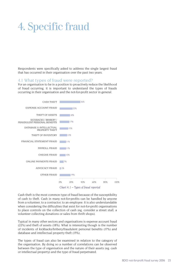## 4. Specific fraud

Respondents were specifically asked to address the single largest fraud that has occurred in their organisation over the past two years.

#### 4.1 What types of fraud were reported?

For an organisation to be in a position to proactively reduce the likelihood of fraud occurring, it is important to understand the types of frauds occurring in their organisation and the not-for-profit sector in general.



Cash theft is the most common type of fraud because of the susceptibility of cash to theft. Cash in many not-for-profits can be handled by anyone from a volunteer, to a contractor, to an employee. It is also understandable when considering the difficulties that exist for not-for-profit organisations to place controls on the collection of cash (eg. consider a street stall, a volunteer collecting donations or sales from thrift shops).

Typical in many other sectors and organisations is expense account fraud (22%) and theft of assets (18%). What is interesting though is the number of incidents of kickbacks/bribery/fraudulent personal benefits (17%) and database and intellectual property theft (15%).

The types of fraud can also be examined in relation to the category of the organisation. By doing so a number of correlations can be observed between the type of organisation and the nature of their assets (eg. cash or intellectual property) and the type of fraud perpetrated.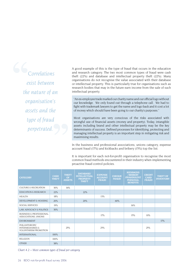*Correlations exist between the nature of an organisation's assets and the type of fraud perpetrated.*

A good example of this is the type of fraud that occurs in the education and research category. The two most common types of fraud were cash theft (22%) and database and intellectual property theft (22%). Many organisations do not recognise the value associated with their database or intellectual property. This is particularly true for organisations such as research bodies that may in the future earn income from the sale of such intellectual property.

"An ex-employee trade marked our charity name and our official logo without our knowledge. We only found out through a telephone call. We had to fight with trademark lawyers to get the name and logo back and it cost a lot of money which should have been going to our charity's purposes."

Most organisations are very conscious of the risks associated with wrongful use of financial assets (money and property). Today, intangible assets including brand and other intellectual property may be the key determinants of success. Defined processes for identifying, protecting and managing intellectual property is an important step in mitigating risk and maximising results.

In the business and professional associations, unions category, expense account fraud (17%) and kickbacks and bribery (15%) top the list.

It is important for each not-for-profit organisation to recognise the most common fraud methods encountered in their industry when implementing proactive fraud control policies.

| <b>CATEGORY</b>                                                              | <b>CASH</b><br><b>THEFT</b> | <b>THEFT</b><br>OF<br><b>ASSETS</b> | <b>DATABASE/</b><br><b>INTELLECTUAL</b><br><b>PROPERTY</b><br><b>THEFT</b> | <b>EXPENSE</b><br><b>ACCOUNT</b><br><b>FRAUD</b> | <b>CHEQUE</b><br><b>FRAUD</b> | <b>KICKBACKS</b><br>/BRIBERY<br>/FRAUDULENT<br><b>PERSONAL</b><br><b>BENEFITS</b> | <b>CREDIT</b><br><b>CARD</b><br><b>FRAUD</b> | <b>THEFT OF</b><br><b>INVENTORY</b> |
|------------------------------------------------------------------------------|-----------------------------|-------------------------------------|----------------------------------------------------------------------------|--------------------------------------------------|-------------------------------|-----------------------------------------------------------------------------------|----------------------------------------------|-------------------------------------|
| <b>CULTURE &amp; RECREATION</b>                                              | 30%                         | 16%                                 |                                                                            |                                                  |                               |                                                                                   |                                              |                                     |
| <b>EDUCATION &amp; RESEARCH</b>                                              | 22%                         |                                     | 22%                                                                        |                                                  |                               |                                                                                   |                                              |                                     |
| <b>HEALTH</b>                                                                | 18%                         |                                     |                                                                            | 13%                                              |                               |                                                                                   |                                              |                                     |
| DEVELOPMENT & HOUSING                                                        | 20%                         |                                     | 20%                                                                        |                                                  | 60%                           |                                                                                   |                                              |                                     |
| SOCIAL SERVICES                                                              | 19%                         |                                     |                                                                            |                                                  |                               | 16%                                                                               |                                              |                                     |
| LAW, ADVOCACY & POLITICS                                                     | 30%                         |                                     |                                                                            |                                                  |                               |                                                                                   |                                              |                                     |
| <b>BUSINESS &amp; PROFESSIONAL</b><br>ASSOCIATIONS, UNIONS                   |                             |                                     |                                                                            | 17%                                              |                               | 15%                                                                               | 10%                                          |                                     |
| <b>ENVIRONMENT</b>                                                           |                             |                                     |                                                                            |                                                  |                               |                                                                                   |                                              | 17%                                 |
| PHILANTHROPIC<br><b>INTERMEDIARIES &amp;</b><br><b>VOLUNTARISM PROMOTION</b> |                             | 25%                                 |                                                                            | 25%                                              |                               |                                                                                   | 25%                                          |                                     |
| <b>INTERNATIONAL</b>                                                         | 100%                        |                                     |                                                                            |                                                  |                               |                                                                                   |                                              |                                     |
| <b>RELIGION</b>                                                              | 100%                        |                                     |                                                                            |                                                  |                               |                                                                                   |                                              |                                     |
| <b>OTHER</b>                                                                 | 38%                         |                                     |                                                                            |                                                  |                               |                                                                                   |                                              |                                     |

*Chart 4.2 – Most common types of fraud per category*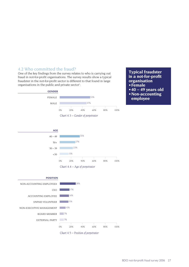## 4.2 Who committed the fraud?

One of the key findings from the survey relates to who is carrying out fraud in not-for-profit organisations. The survey results show a typical fraudster in the not-for-profit sector is different to that found in large organisations in the public and private sector<sup>i</sup>:





- **40 49 years old**
- **Non-accounting employee**







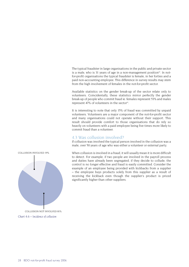The typical fraudster in large organisations in the public and private sector is a male, who is 31 years of age in a non-management position<sup>iii</sup>. In notfor-profit organisations the typical fraudster is female, in her forties and a paid non-accounting employee. This difference in survey results may stem from the high involvement of females in the not-for-profit sector.

Available statistics on the gender break-up of the sector relate only to volunteers. Coincidentally, these statistics mirror perfectly the gender break-up of people who commit fraud ie. females represent 53% and males represent 47% of volunteers in the sectoriv.

It is interesting to note that only 15% of fraud was committed by unpaid volunteers. Volunteers are a major component of the not-for-profit sector and many organisations could not operate without their support. This result should provide comfort to those organisations that do rely so heavily on volunteers with a paid employee being five times more likely to commit fraud than a volunteer.

#### 4.3 Was collusion involved?

If collusion was involved the typical person involved in the collusion was a male, over 50 years of age who was either a volunteer or external party.

When collusion is involved in a fraud, it will usually mean it is more difficult to detect. For example, if two people are involved in the payroll process and duties have already been segregated, if they decide to collude, the control is no longer effective and fraud is easily committed. Consider the example of an employee being provided with kickbacks from a supplier – the employee buys products solely from this supplier as a result of receiving the kickback even though the supplier's product is priced significantly higher than other suppliers.

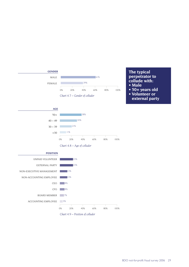





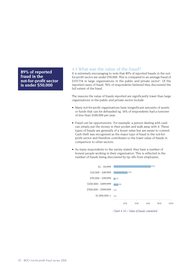**89% of reported fraud in the not-for-profit sector is under \$50,000**

### 4.4 What was the value of the fraud?

It is extremely encouraging to note that 89% of reported frauds in the notfor-profit sector are under \$50,000. This is compared to an average fraud of \$337,734 in large organisations in the public and private sector<sup>y</sup>. Of the reported cases of fraud, 50% of respondents believed they discovered the full extent of the fraud.

The reasons the value of frauds reported are significantly lower than large organisations in the public and private sector include:

- Many not-for-profit organisations have insignificant amounts of assets or funds that can be defrauded eg. 16% of respondents had a turnover of less than \$100,000 per year;
- Fraud can be opportunistic. For example, a person dealing with cash can simply put the money in their pocket and walk away with it. These types of frauds are generally of a lesser value but are easier to commit. Cash theft was recognised as the major type of fraud in the not-for profit sector and therefore contributes to the lower value of frauds in comparison to other sectors.
- As many respondents to the survey stated, they have a number of honest people working in their organisation. This is reflected in the number of frauds being discovered by tip offs from employees.



*Chart 4.10 – Value of frauds committed*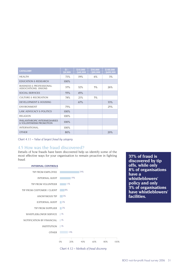| <b>CATEGORY</b>                                            | $S1 -$<br>\$9,999 | \$10,000<br>- \$49,999 | <b>S50.000</b><br>\$99,999 | \$100,000<br>$-$ \$499,999 |
|------------------------------------------------------------|-------------------|------------------------|----------------------------|----------------------------|
| <b>HEALTH</b>                                              | 71%               | 19%                    | 6%                         | 3%                         |
| <b>EDUCATION &amp; RESEARCH</b>                            | 100%              |                        |                            |                            |
| <b>BUSINESS &amp; PROFESSIONAL</b><br>ASSOCIATIONS, UNIONS | 37%               | 32%                    | 5%                         | 26%                        |
| <b>SOCIAL SERVICES</b>                                     | 55%               | 45%                    |                            |                            |
| <b>CULTURE &amp; RECREATION</b>                            | 74%               | 21%                    | 5%                         |                            |
| DEVELOPMENT & HOUSING                                      |                   | 67%                    |                            | 33%                        |
| <b>ENVIRONMENT</b>                                         | 75%               |                        |                            | 25%                        |
| LAW, ADVOCACY & POLITICS                                   | 100%              |                        |                            |                            |
| <b>RELIGION</b>                                            | 100%              |                        |                            |                            |
| PHILANTHROPIC INTERMEDIARIES<br>& VOLUNTARISM PROMOTION    | 100%              |                        |                            |                            |
| <b>INTERNATIONAL</b>                                       | 100%              |                        |                            |                            |
| <b>OTHER</b>                                               | 80%               |                        |                            | 20%                        |

*Chart 4.11 – Value of largest fraud by category*

## 4.5 How was the fraud discovered?

Details of how frauds have been discovered help us identify some of the most effective ways for your organisation to remain proactive in fighting fraud.



**37% of fraud is discovered by tip offs, while only 8% of organisations have a whistleblowers' policy and only 3% of organisations have whistleblowers' facilities.**

*Chart 4.12 – Methods of fraud discovery*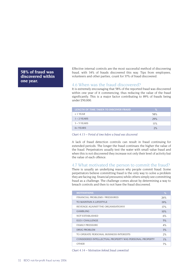## **58% of fraud was discovered within one year.**

Effective internal controls are the most successful method of discovering fraud, with 34% of frauds discovered this way. Tips from employees, volunteers and other parties, count for 37% of fraud discovered.

#### 4.6 When was the fraud discovered?

It is extremely encouraging that 58% of the reported fraud was discovered within one year of it commencing, thus reducing the value of the fraud significantly. This is a major factor contributing to 89% of frauds being under \$50,000.

| LENGTH OF TIME TAKEN TO DISCOVER FRAUD | $\%$ |
|----------------------------------------|------|
| $<$ 1 YEAR                             | 58%  |
| $1 - 2$ YEARS                          | 29%  |
| $3 - 5$ YEARS                          | 11%  |
| $6+YEARS$                              | 2%   |

*Chart 4.13 – Period of time before a fraud was discovered*

A lack of fraud detection controls can result in fraud continuing for extended periods. The longer the fraud continues the higher the value of the fraud. Perpetrators usually test the water with small value fraud and when this is not discovered they increase not only their level of activity but the value of each offence.

#### 4.7 What motivated the person to commit the fraud?

There is usually an underlying reason why people commit fraud. Some perpetrators believe committing fraud is the only way to solve a problem they are facing (eg. financial pressures) while others simply see committing fraud as a challenge. The challenge comes about by determining a way to breach controls and then to not have the fraud discovered.

| <b>MOTIVATIONS</b>                                     | %     |
|--------------------------------------------------------|-------|
| FINANCIAL PROBLEMS / PRESSURES                         | 26%   |
| TO MAINTAIN A LIFESTYLE                                | 19%   |
| REVENGE AGAINST THE ORGANISATIONVI                     | 17%   |
| <b>GAMBLING</b>                                        | 10%   |
| NOT ESTABLISHED                                        | 6%    |
| EGO / CHALLENGE                                        | 5%    |
| <b>FAMILY PRESSURE</b>                                 | 4%    |
| DRUG PROBLEM                                           | 3%    |
| TO OPERATE PERSONAL BUSINESS INTERESTS                 | 2%    |
| CONSIDERED INTELLECTUAL PROPERTY WAS PERSONAL PROPERTY | $1\%$ |
| <b>OTHER</b>                                           | 7%    |

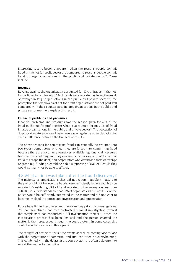Interesting results become apparent when the reasons people commit fraud in the not-for-profit sector are compared to reasons people commit fraud in large organisations in the public and private sector<sup>vii</sup>. These include:

#### **Revenge**

Revenge against the organisation accounted for 17% of frauds in the notfor-profit sector while only 0.7% of frauds were reported as being the result of revenge in large organisations in the public and private sectorviii. The perception that employees of not-for-profit organisations are not paid well compared with their counterparts in large organisations in the public and private sector may help explain this result.

#### **Financial problems and pressures**

Financial problems and pressures was the reason given for 26% of the fraud in the not-for-profit sector while it accounted for only 3% of fraud in large organisations in the public and private sector<sup>ix</sup>. The perception of disproportionate salary and wage levels may again be an explanation for such a difference between the two sets of results.

The above reasons for committing fraud can generally be grouped into two types: perpetrators who feel they are forced into committing fraud because there are no other alternatives available (eg. financial pressures become overwhelming and they can see no other way out but to commit fraud to escape the debt) and perpetrators who offend as a form of revenge or greed (eg. funding a gambling habit, supporting a level of lifestyle they would normally not be able to afford).

#### 4.8 What action was taken after the fraud discovery?

The majority of organisations that did not report fraudulent matters to the police did not believe the frauds were sufficiently large enough to be reported. Considering 89% of fraud reported in the survey was less than \$50,000, it is understandable that 51% of organisations did not believe the police would be sufficiently interested in the matter and did not want to become involved in a protracted investigation and prosecution.

Police have limited resources and therefore they prioritise investigations. This can sometimes lead to a protracted criminal investigation (even if the complainant has conducted a full investigation themself). Once the investigation process has been finalised and the person charged the matter is then progressed through the court system. In some cases this could be as long as two to three years.

The thought of having to revisit the events as well as coming face to face with the perpetrator at committal and trial can often be overwhelming. This combined with the delays in the court system are often a deterrent to report the matter to the police.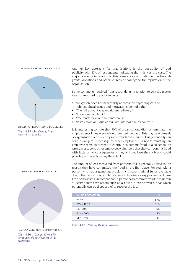

FRAUD NOT REPORTED TO POLICE 64% *Chart 4.15 – Incidence of fraud reported to the police*



EMPLOYMENT TERMINATED 70%

EMPLOYMENT NOT TERMINATED 30%

*Chart 4.16 – Organisations who terminated the employment of the perpetrator*

Another key deterrent for organisations is the possibility of bad publicity with 15% of respondents indicating that this was the case. The major concerns in relation to this were a loss of funding either through grants, donations and other sources or damage to the reputation of the organisation.

Some comments received from respondents in relation to why the matter was not reported to police include:

- "Litigation does not necessarily address the psychological and philosophical issues and motivations behind a theft."
- "The full amount was repaid immediately."
- "It was our own fault."
- "The matter was rectified internally."
- "It was more an issue of our own internal quality control."

It is interesting to note that 30% of organisations did not terminate the employment of the person who committed the fraud. This may be as a result of organisations considering some frauds to be minor. This potentially can send a dangerous message to other employees. By not terminating, an employee remains present to continue to commit fraud. It also sends the wrong message to other employees/volunteers that they can commit fraud with little or no consequences – they will not lose their job and could possibly not have to repay their debt.

The amount of loss recovered from perpetrators is generally linked to the reason they have committed the fraud in the first place. For example, a person who has a gambling problem will have minimal funds available due to their addiction; similarly a person funding a drug problem will have little or no assets. In comparison, a person who commits fraud to maintain a lifestyle may have assets such as a house, a car or even a boat which potentially can be disposed of to recover the loss.

| <b>VALUE RECOVERED</b> | %   |
|------------------------|-----|
| <b>NONE</b>            | 65% |
| $76\% - 100\%$         | 21% |
| $1\% - 25\%$           | 6%  |
| $26\% - 50\%$          | 5%  |
| $51\% - 75\%$          | 3%  |

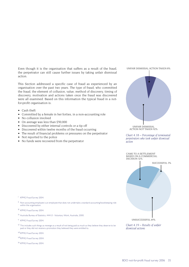Even though it is the organisation that suffers as a result of the fraud, the perpetrator can still cause further issues by taking unfair dismissal action.

This Section addressed a specific case of fraud as experienced by an organisation over the past two years. The type of fraud, who committed the fraud, the element of collusion, value, method of discovery, timing of discovery, motivation and actions taken once the fraud was discovered were all examined. Based on this information the typical fraud in a notfor-profit organisation is:

- Cash theft
- Committed by a female in her forties, in a non-accounting role
- No collusion involved
- On average was less than \$50,000
- Discovered by either internal controls or a tip off
- Discovered within twelve months of the fraud occurring
- The result of financial problems or pressures on the perpetrator
- Not reported to the police
- No funds were recovered from the perpetrator



UNFAIR DISMISSAL ACTION NOT TAKEN 92%

*Chart 4.18 – Percentage of terminated perpetrators who took unfair dismissal action*



*Chart 4.19 – Results of unfair dismissal actions*

<sup>i</sup> KPMG Fraud Survey 2004.

ii Non-accounting employee is an employee that does not undertake a standard accounting/bookkeeping role within the organisation.

- iii KPMG Fraud Survey 2004.
- iv Australia Bureau of Statistics, 4441.0 Voluntary Work, Australia, 2000.
- <sup>v</sup> KPMG Fraud Survey 2004.

<sup>vi</sup> This includes such things as revenge as a result of not being paid as much as they believe they deserve to be paid or they did not receive a promotion they believed they were entitled to.

vii KPMG Fraud Survey 2004.

viii<sub>KPMG</sub> Fraud Survey 2004.

ix KPMG Fraud Survey 2004.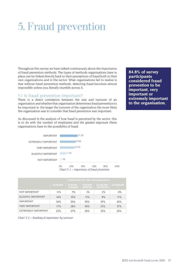# 5. Fraud prevention

Throughout this survey we have talked continuously about the importance of fraud prevention methods. The types of methods organisations have in place can be linked directly back to their perceptions of fraud both in their own organisations and in the sector. What organisations fail to realise is that without fraud prevention methods, detecting fraud becomes almost impossible unless you literally stumble across it.

#### 5.1 Is fraud prevention important?

There is a direct correlation between the size and turnover of an organisation and whether that organisation determines fraud prevention to be important ie. the larger the turnover of the organisation the more likely the organisation was to consider that fraud prevention was important.

As discussed in the analysis of how fraud is perceived by the sector, this is to do with the number of employees and the greater exposure these organisations have to the possibility of fraud.



|                       | <b>TURNOVER OF THE ORGANISATION</b> |                            |                            |                                |                     |  |
|-----------------------|-------------------------------------|----------------------------|----------------------------|--------------------------------|---------------------|--|
|                       | $<$ \$100,000                       | \$100,000<br>$-$ \$499,000 | \$500,000<br>$-$ \$999,999 | \$1,000,000<br>$-$ \$9,999,999 | \$10,000,000<br>$+$ |  |
| NOT IMPORTANT         | 11%                                 | 5%                         | $1\%$                      | 2%                             | $0\%$               |  |
| SLIGHTLY IMPORTANT    | 16%                                 | 10%                        | 13%                        | 8%                             | 11%                 |  |
| <b>IMPORTANT</b>      | 34%                                 | 30%                        | 30%                        | 35%                            | 26%                 |  |
| <b>VERY IMPORTANT</b> | 17%                                 | 28%                        | 30%                        | 23%                            | 37%                 |  |
| EXTREMELY IMPORTANT   | 22%                                 | 27%                        | 26%                        | 32%                            | 26%                 |  |

*Chart 5.2 – Ranking of importance by turnover*

**84.8% of survey participants considered fraud prevention to be important, very important or extremely important to the organisation.**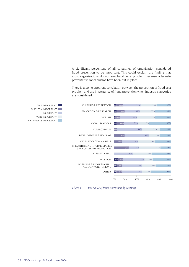A significant percentage of all categories of organisation considered fraud prevention to be important. This could explain the finding that most organisations do not see fraud as a problem because adequate preventative mechanisms have been put in place.

There is also no apparent correlation between the perception of fraud as a problem and the importance of fraud prevention when industry categories are considered.



*Chart 5.3 – Importance of fraud prevention by category*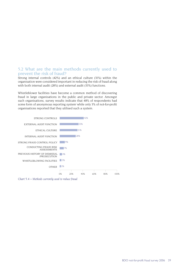## 5.2 What are the main methods currently used to prevent the risk of fraud?

Strong internal controls (42%) and an ethical culture (31%) within the organisation were considered important in reducing the risk of fraud along with both internal audit (28%) and external audit (33%) functions.

Whistleblower facilities have become a common method of discovering fraud in large organisations in the public and private sector. Amongst such organisations, survey results indicate that 48% of respondents had some form of anonymous reporting system while only 3% of not-for-profit organisations reported that they utilised such a system.



*Chart 5.4 – Methods currently used to reduce fraud*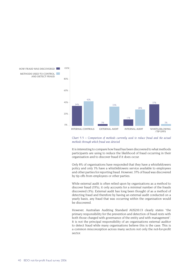



It is interesting to compare how fraud has been discovered to what methods participants are using to reduce the likelihood of fraud occurring in their organisation and to discover fraud if it does occur.

Only 8% of organisations have responded that they have a whistleblowers policy and only 3% have a whistleblowers service available to employees and other parties for reporting fraud. However, 37% of fraud was discovered by tip offs from employees or other parties.

While external audit is often relied upon by organisations as a method to discover fraud (33%), it only accounts for a minimal number of the frauds discovered (3%). External audit has long been thought of as a method of detecting fraud and therefore by having an external audit conducted on a yearly basis, any fraud that was occurring within the organisation would be discovered.

However, Australian Auditing Standard AUS210.13 clearly states "the primary responsibility for the prevention and detection of fraud rests with both those charged with governance of the entity and with management". It is not the principal responsibility of an organisations external auditor to detect fraud while many organisations believe this is the case. This is a common misconception across many sectors not only the not-for-profit sector.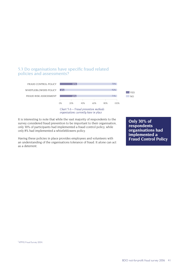## 5.3 Do organisations have specific fraud related policies and assessments?



 *organisations currently have in place*

It is interesting to note that while the vast majority of respondents to the survey considered fraud prevention to be important to their organisation, only 30% of participants had implemented a fraud control policy, while only 8% had implemented a whistleblowers policy.

Having these policies in place provides employees and volunteers with an understanding of the organisations tolerance of fraud. It alone can act as a deterrent.

**Only 30% of respondents organisations had implemented a Fraud Control Policy**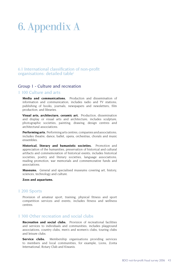# 6. Appendix A

## 6.1 International classification of non-profit organisations: detailed tablei

## Group 1 - Culture and recreation

#### 1 100 Culture and arts

**Media and communications.** Production and dissemination of information and communication; includes radio and TV stations; publishing of books, journals, newspapers and newsletters; film production; and libraries.

**Visual arts, architecture, ceramic art.** Production, dissemination and display or visual arts and architecture; includes sculpture, photographic societies, painting, drawing, design centres and architectural associations.

**Performing arts.** Performing arts centres, companies and associations; includes theatre, dance, ballet, opera, orchestras, chorals and music ensembles.

**Historical, literary and humanistic societies.** Promotion and appreciation of the humanities, preservation of historical and cultural artifacts and commemoration of historical events; includes historical societies, poetry and literary societies, language associations, reading promotion, war memorials and commemorative funds and associations.

**Museums.** General and specialised museums covering art, history, sciences, technology and culture.

#### **Zoos and aquariums.**

#### 1 200 Sports

Provision of amateur sport, training, physical fitness and sport competition services and events; includes fitness and wellness centres.

## 1 300 Other recreation and social clubs

**Recreation and social clubs.** Provision of recreational facilities and services to individuals and communities; includes playground associations, country clubs, men's and women's clubs, touring clubs and leisure clubs.

**Service clubs.** Membership organisations providing services to members and local communities, for example, Lions, Zonta International, Rotary Club and Kiwanis.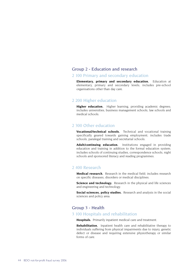#### Group 2 - Education and research

#### 2 100 Primary and secondary education

**Elementary, primary and secondary education.** Education at elementary, primary and secondary levels; includes pre-school organisations other than day care.

#### 2 200 Higher education

**Higher education.** Higher learning, providing academic degrees; includes universities, business management schools, law schools and medical schools.

## 2 300 Other education

**Vocational/technical schools.** Technical and vocational training specifically geared towards gaining employment; includes trade schools, paralegal training and secretarial schools.

**Adult/continuing education.** Institutions engaged in providing education and training in addition to the formal education system; includes schools of continuing studies, correspondence schools, night schools and sponsored literacy and reading programmes.

#### 2 400 Research

**Medical research.** Research in the medical field; includes research on specific diseases, disorders or medical disciplines.

**Science and technology.** Research in the physical and life sciences and engineering and technology.

**Social sciences, policy studies.** Research and analysis in the social sciences and policy area.

## Group 3 - Health

## 3 100 Hospitals and rehabilitation

**Hospitals.** Primarily inpatient medical care and treatment.

**Rehabilitation.** Inpatient health care and rehabilitative therapy to individuals suffering from physical impairments due to injury, genetic defect or disease and requiring extensive physiotherapy or similar forms of care.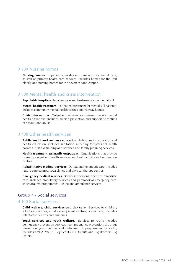#### 3 200 Nursing homes

**Nursing homes.** Inpatient convalescent care and residential care, as well as primary health-care services; includes homes for the frail elderly and nursing homes for the severely handicapped.

## 3 300 Mental health and crisis intervention

**Psychiatric hospitals.** Inpatient care and treatment for the mentally ill.

**Mental health treatment.** Outpatient treatment for mentally ill patients; includes community mental health centres and halfway homes.

**Crisis intervention.** Outpatient services for counsel in acute mental health situations; includes suicide prevention and support to victims of assault and abuse.

## 3 400 Other health services

**Public health and wellness education.** Public health promotion and health education; includes sanitation screening for potential health hazards, first aid training and services and family planning services.

**Health treatment, primarily outpatient.** Organisations that provide primarily outpatient health services, eg. health clinics and vaccination centres.

**Rehabilitative medical services.** Outpatient therapeutic care; includes nature cure centres, yoga clinics and physical therapy centres.

**Emergency medical services.** Services to persons in need of immediate care; includes ambulatory services and paramedical emergency care, shock/trauma programmes, lifeline and ambulance services.

## Group 4 - Social services

#### 4 100 Social services

**Child welfare, child services and day care.** Services to children, adoption services, child development centres, foster care; includes infant-care centres and nurseries.

Youth services and youth welfare. Services to youth; includes delinquency prevention services, teen pregnancy prevention, drop-out prevention, youth centres and clubs and job programmes for youth; includes YMCA, YWCA, Boy Scouts, Girl Scouts and Big Brothers/Big Sisters.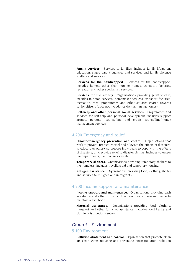**Family services.** Services to families: includes family life/parent education, single parent agencies and services and family violence shelters and services.

**Services for the handicapped.** Services for the handicapped: includes homes, other than nursing homes, transport facilities, recreation and other specialised services.

**Services for the elderly.** Organisations providing geriatric care; includes in-home services, homemaker services, transport facilities, recreation, meal programmes and other services geared towards senior citizens (does not include residential nursing homes).

**Self-help and other personal social services.** Programmes and services for self-help and personal development; includes support groups, personal counselling and credit counselling/money management services.

#### 4 200 Emergency and relief

**Disaster/emergency prevention and control.** Organisations that work to prevent, predict, control and alleviate the effects of disasters, to educate or otherwise prepare individuals to cope with the effects of disasters, or to provide relief to disaster victims; includes volunteer fire departments, life boat services etc.

**Temporary shelters.** Organisations providing temporary shelters to the homeless; includes travellers aid and temporary housing.

**Refugee assistance.** Organisations providing food, clothing, shelter and services to refugees and immigrants.

### 4 300 Income support and maintenance

**Income support and maintenance.** Organisations providing cash assistance and other forms of direct services to persons unable to maintain a livelihood.

**Material assistance.** Organisations providing food, clothing, transport and other forms of assistance; includes food banks and clothing distribution centres.

## Group 5 - Environment

#### 5 100 Environment

**Pollution abatement and control.** Organisation that promote clean air, clean water, reducing and preventing noise pollution, radiation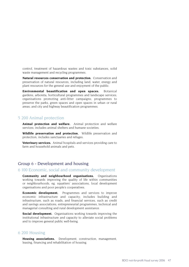control, treatment of hazardous wastes and toxic substances, solid waste management and recycling programmes.

**Natural resources conservation and protection.** Conservation and preservation of natural resources, including land, water, energy and plant resources for the general use and enjoyment of the public.

**Environmental beautification and open spaces.** Botanical gardens, arboreta, horticultural programmes and landscape services; organisations promoting anti-litter campaigns; programmes to preserve the parks, green spaces and open spaces in urban or rural areas; and city and highway beautification programmes.

### 5 200 Animal protection

**Animal protection and welfare.** Animal protection and welfare services; includes animal shelters and humane societies.

**Wildlife preservation and protection.** Wildlife preservation and protection; includes sanctuaries and refuges.

**Veterinary services.** Animal hospitals and services providing care to farm and household animals and pets.

## Group 6 - Development and housing

#### 6 100 Economic, social and community development

**Community and neighbourhood organisations.** Organisations working towards improving the quality of life within communities or neighbourhoods, eg. squatters' associations, local development organisations and poor people's cooperatives.

**Economic development.** Programmes and services to improve economic infrastructure and capacity; includes building and infrastructure, such as roads, and financial services, such as credit and savings associations, entrepreneurial programmes, technical and managerial consulting and rural development assistance.

**Social development.** Organisations working towards improving the institutional infrastructure and capacity to alleviate social problems and to improve general public well-being.

#### 6 200 Housing

**Housing associations.** Development, construction, management, leasing, financing and rehabilitation of housing.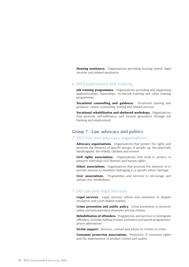**Housing assistance.** Organisations providing housing search, legal services and related assistance.

## 6 300 Employment and training

**Job training programmes.** Organisations providing and supporting apprenticeships, internships, on-the-job training and other training programmes.

**Vocational counselling and guidance.** Vocational training and guidance, career counselling, testing and related services.

**Vocational rehabilitation and sheltered workshops.** Organisations that promote self-sufficiency and income generation through job training and employment.

## Group 7 - Law, advocacy and politics

#### 7 100 Civic and advocacy organisations

**Advocacy organisations.** Organisations that protect the rights and promote the interests of specific groups of people, eg. the physically handicapped, the elderly, children and women.

**Civil rights associations.** Organisations that work to protect or preserve individual civil liberties and human rights.

**Ethnic associations.** Organisations that promote the interests of or provide services to members belonging to a specific ethnic heritage.

**Civic associations.** Programmes and services to encourage and spread civic mindedness.

#### 7 200 Law and legal services

Legal services. Legal services, advice and assistance in dispute resolution and court-related matters.

**Crime prevention and public policy.** Crime prevention to promote safety and precautionary measures among citizens.

**Rehabilitation of offenders.** Programmes and services to reintegrate offenders; includes halfway houses, probation and parole programmes, prison alternatives.

**Victim support.** Services, counsel and advice to victims of crime.

**Consumer protection associations.** Protection of consumer rights and the improvement of product control and quality.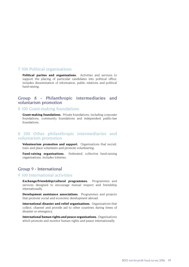#### 7 300 Political organisations

**Political parties and organisations.** Activities and services to support the placing of particular candidates into political office; includes dissemination of information, public relations and political fund-raising.

## Group 8 - Philanthropic intermediaries and voluntarism promotion

#### 8 100 Grant-making foundations

**Grant-making foundations.** Private foundations, including corporate foundations, community foundations and independent public-law foundations.

### 8 200 Other philanthropic intermediaries and voluntarism promotion

**Volunteerism promotion and support.** Organisations that recruit, train and place volunteers and promote volunteering.

**Fund-raising organisations.** Federated, collective fund-raising organisations; includes lotteries.

## Group 9 - International

#### 9 100 International activities

**Exchange/friendship/cultural programmes.** Programmes and services designed to encourage mutual respect and friendship internationally.

**Development assistance associations.** Programmes and projects that promote social and economic development abroad.

**International disaster and relief organisations.** Organisations that collect, channel and provide aid to other countries during times of disaster or emergency.

**International human rights and peace organisations.** Organisations which promote and monitor human rights and peace internationally.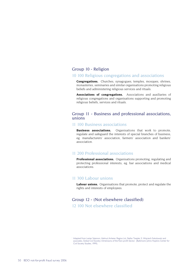## Group 10 - Religion

#### 10 100 Religious congregations and associations

**Congregations.** Churches, synagogues, temples, mosques, shrines, monasteries, seminaries and similar organisations promoting religious beliefs and administering religious services and rituals.

**Associations of congregations.** Associations and auxiliaries of religious congregations and organisations supporting and promoting religious beliefs, services and rituals.

## Group 11 - Business and professional associations, unions

### 11 100 Business associations

**Business associations.** Organisations that work to promote, regulate and safeguard the interests of special branches of business, eg. manufacturers' association, farmers' association and bankers' association.

### 11 200 Professional associations

**Professional associations.** Organisations promoting, regulating and protecting professional interests, eg. bar associations and medical associations.

#### 11 300 Labour unions

**Labour unions.** Organisations that promote, protect and regulate the rights and interests of employees.

## Group 12 - (Not elsewhere classified) 12 100 Not elsewhere classified

i Adapted from Lester Salamon, Helmut Anheier, Regina List, Stefan Toepler, S. Wojciech Sokolowski and associates, Global Civil Society: Dimensions of the Non-profit Sector. (Baltimore: Johns Hopkins Center for Civil Society Studies, 1999).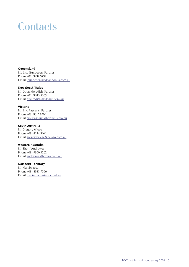## **Contacts**

**Queensland**  Ms Lisa Bundesen, Partner Phone (07) 3237 5731 Email lbundesen@bdokendalls.com.au

**New South Wales** Mr Doug Meredith, Partner Phone (02) 9286 5603 Email dmeredith@bdosyd.com.au

#### **Victoria**

Mr Eric Passaris, Partner Phone (03) 9615 8504 Email eric.passaris@bdomel.com.au

#### **South Australia**

Mr Gregory Wiese Phone (08) 8224 5262 Email gregory.wiese@bdosa.com.au

#### **Western Australia**

Mr Sherif Andrawes Phone (08) 9360 4202 Email andrawes@bdowa.com.au

#### **Northern Territory**

Mr Mal Sciacca Phone (08) 8981 7066 Email msciacca.dar@bdo.net.au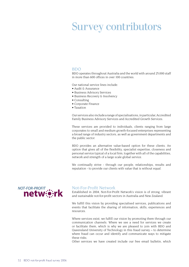## Survey contributors

#### BDO

BDO operates throughout Australia and the world with around 25,000 staff in more than 600 offices in over 100 countries.

Our national service lines include:

- Audit & Assurance
- Business Advisory Services
- Business Recovery & Insolvency
- Consulting
- Corporate Finance
- Taxation

Our services also include a range of specialisations, in particular, Accredited Family Business Advisory Services and Accredited Growth Services.

These services are provided to individuals, clients ranging from large corporates to small and medium growth-focused enterprises representing a broad range of industry sectors, as well as government departments and the public sector.

BDO provides an alternative value-based option for these clients. An option that gives all of the flexibility, specialist expertise, closeness and personal service typical of a local firm, together with all of the capabilities, network and strength of a large scale global service.

We continually strive - through our people, relationships, results and reputation - to provide our clients with value that is without equal.



#### Not-For-Profit Network

Established in 2004, Not-For-Profit Network's vision is of strong, vibrant and sustainable not-for-profit sectors in Australia and New Zealand.

We fulfill this vision by providing specialised services, publications and events that facilitate the sharing of information, skills, experiences and resources.

Where services exist, we fulfill our vision by promoting them through our communication channels. Where we see a need for services we create or facilitate them, which is why we are pleased to join with BDO and Queensland University of Technology in this fraud survey – to determine where fraud can occur and identify and communicate ways to mitigate these risks.

Other services we have created include our free email bulletin, which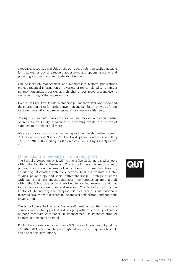showcases resources available on the world wide web in an easily digestible form, as well as advising readers about news and upcoming events and providing a forum to communicate about issues.

Our Association Management and Membership Matters publications provide practical information on a variety of topics related to running a nonprofit organisation, as well as highlighting news, resources, and events available through other organisations.

Events like Executive Update, Membership Roadshow, Risk Roadshow and the International Not-for-profit Convention and Exhibition provide a forum to share information and experiences and to network with peers.

Through our website, www.nfpn.com.au, we provide a comprehensive online resource library, a calendar of upcoming events, a directory of suppliers to the sector and more.

We are also able to consult on marketing and membership related issues. To learn more about Not-For-Profit Network, please contact us by calling +61 (0)7 3210 2288, emailing info@nfpn.com.au or visiting www.nfpn.com. au.

## Queensland University of Technology (QUT)

The School of Accountancy at QUT is one of five discipline-based schools within the Faculty of Business. The School's research and academic programs focus on the areas of accountancy, business law, taxation, accounting information systems, electronic business, voluntary sector studies, philanthropy and social entrepreneurship. Strategic alliances with leading business, industry and government groups ensure that staff within the School are actively involved in applied research, and that its courses are contemporary and relevant. The School also hosts the Centre of Philanthropy and Nonprofit Studies, which is internationally regarded as a leader in research in the areas of philanthropy and nonprofit organisations.

The School offers the Master of Business (Forensic Accounting), which is a course for accountancy graduates, developing skills in identifying indicators of poor corporate governance, mismanagement, misrepresentation of financial statements and fraud.

For further information contact the QUT School of Accountancy, by calling +61 (0)7 3864 5292, emailing accenq@qut.com or visiting www.bus.qut. edu.au/schools/accountancy.